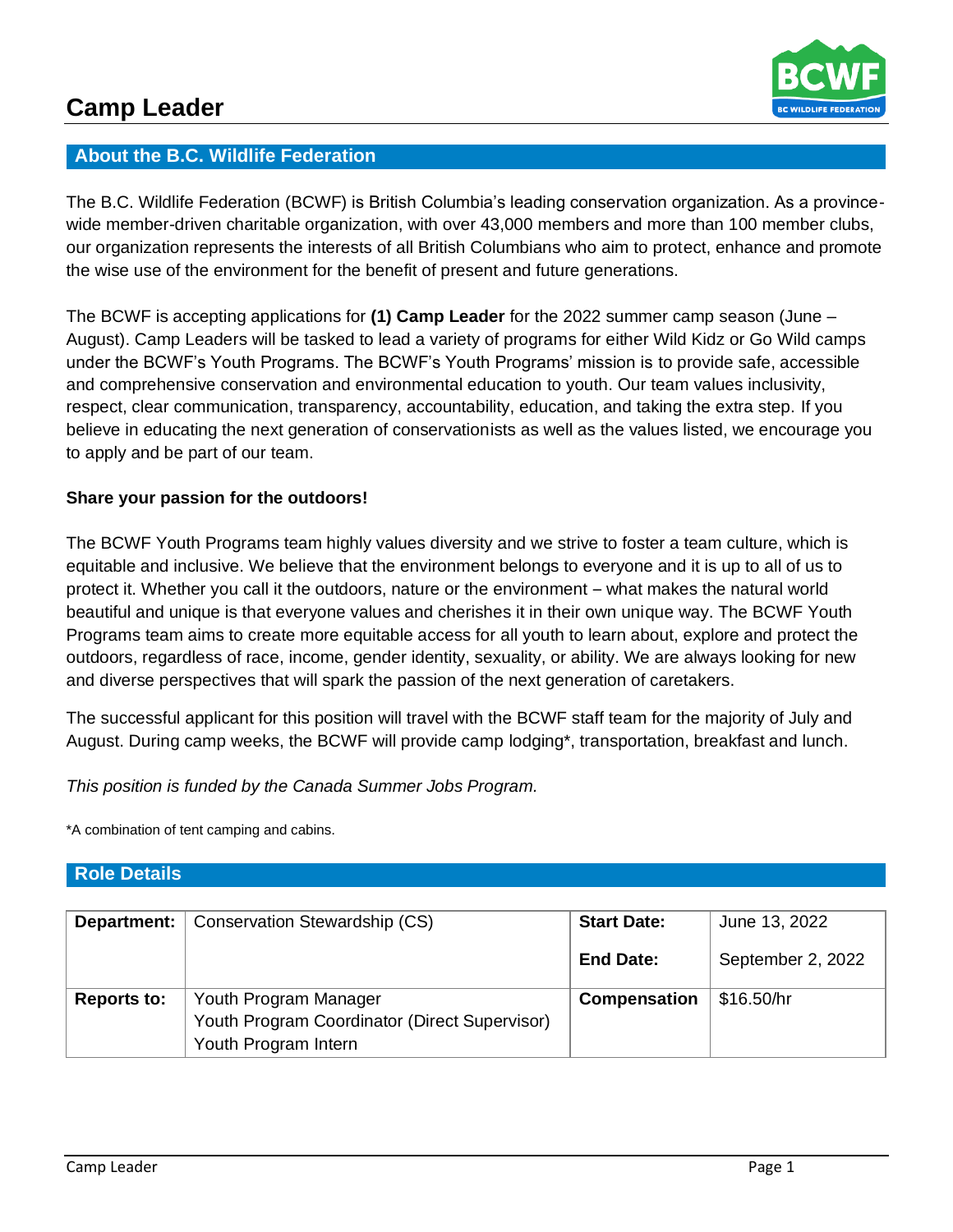

# **About the B.C. Wildlife Federation**

The B.C. Wildlife Federation (BCWF) is British Columbia's leading conservation organization. As a provincewide member-driven charitable organization, with over 43,000 members and more than 100 member clubs, our organization represents the interests of all British Columbians who aim to protect, enhance and promote the wise use of the environment for the benefit of present and future generations.

The BCWF is accepting applications for **(1) Camp Leader** for the 2022 summer camp season (June – August). Camp Leaders will be tasked to lead a variety of programs for either Wild Kidz or Go Wild camps under the BCWF's Youth Programs. The BCWF's Youth Programs' mission is to provide safe, accessible and comprehensive conservation and environmental education to youth. Our team values inclusivity, respect, clear communication, transparency, accountability, education, and taking the extra step. If you believe in educating the next generation of conservationists as well as the values listed, we encourage you to apply and be part of our team.

# **Share your passion for the outdoors!**

The BCWF Youth Programs team highly values diversity and we strive to foster a team culture, which is equitable and inclusive. We believe that the environment belongs to everyone and it is up to all of us to protect it. Whether you call it the outdoors, nature or the environment – what makes the natural world beautiful and unique is that everyone values and cherishes it in their own unique way. The BCWF Youth Programs team aims to create more equitable access for all youth to learn about, explore and protect the outdoors, regardless of race, income, gender identity, sexuality, or ability. We are always looking for new and diverse perspectives that will spark the passion of the next generation of caretakers.

The successful applicant for this position will travel with the BCWF staff team for the majority of July and August. During camp weeks, the BCWF will provide camp lodging\*, transportation, breakfast and lunch.

*This position is funded by the Canada Summer Jobs Program.* 

\*A combination of tent camping and cabins.

| Department:        | Conservation Stewardship (CS)                                                                  | <b>Start Date:</b>  | June 13, 2022     |
|--------------------|------------------------------------------------------------------------------------------------|---------------------|-------------------|
|                    |                                                                                                | <b>End Date:</b>    | September 2, 2022 |
| <b>Reports to:</b> | Youth Program Manager<br>Youth Program Coordinator (Direct Supervisor)<br>Youth Program Intern | <b>Compensation</b> | \$16.50/hr        |

### **Role Details**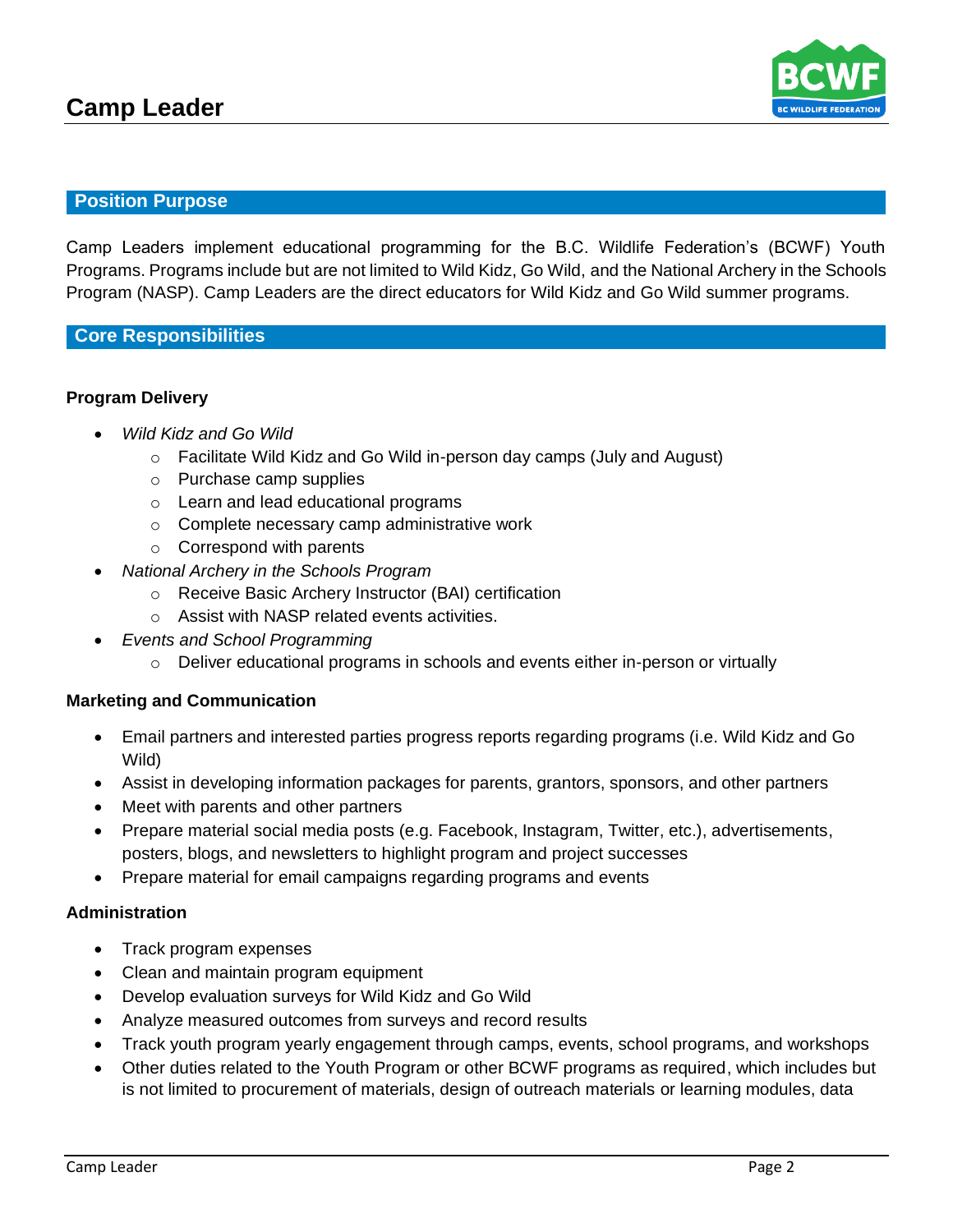

# **Position Purpose**

Camp Leaders implement educational programming for the B.C. Wildlife Federation's (BCWF) Youth Programs. Programs include but are not limited to Wild Kidz, Go Wild, and the National Archery in the Schools Program (NASP). Camp Leaders are the direct educators for Wild Kidz and Go Wild summer programs.

## **Core Responsibilities**

## **Program Delivery**

- *Wild Kidz and Go Wild*
	- o Facilitate Wild Kidz and Go Wild in-person day camps (July and August)
	- o Purchase camp supplies
	- o Learn and lead educational programs
	- o Complete necessary camp administrative work
	- o Correspond with parents
- *National Archery in the Schools Program*
	- o Receive Basic Archery Instructor (BAI) certification
	- o Assist with NASP related events activities.
- *Events and School Programming*
	- $\circ$  Deliver educational programs in schools and events either in-person or virtually

### **Marketing and Communication**

- Email partners and interested parties progress reports regarding programs (i.e. Wild Kidz and Go Wild)
- Assist in developing information packages for parents, grantors, sponsors, and other partners
- Meet with parents and other partners
- Prepare material social media posts (e.g. Facebook, Instagram, Twitter, etc.), advertisements, posters, blogs, and newsletters to highlight program and project successes
- Prepare material for email campaigns regarding programs and events

### **Administration**

- Track program expenses
- Clean and maintain program equipment
- Develop evaluation surveys for Wild Kidz and Go Wild
- Analyze measured outcomes from surveys and record results
- Track youth program yearly engagement through camps, events, school programs, and workshops
- Other duties related to the Youth Program or other BCWF programs as required, which includes but is not limited to procurement of materials, design of outreach materials or learning modules, data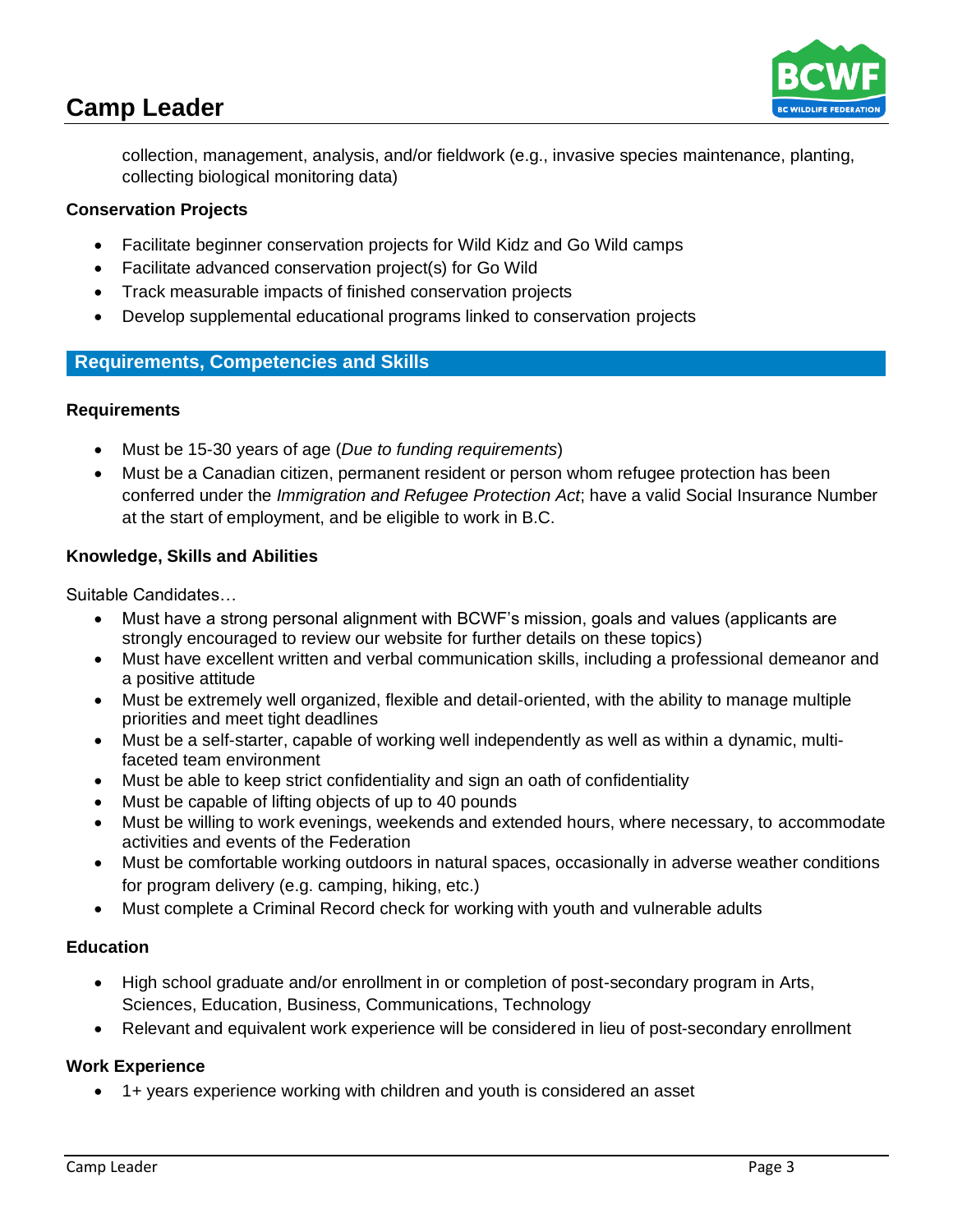# **Camp Leader**



collection, management, analysis, and/or fieldwork (e.g., invasive species maintenance, planting, collecting biological monitoring data)

# **Conservation Projects**

- Facilitate beginner conservation projects for Wild Kidz and Go Wild camps
- Facilitate advanced conservation project(s) for Go Wild
- Track measurable impacts of finished conservation projects
- Develop supplemental educational programs linked to conservation projects

# **Requirements, Competencies and Skills**

## **Requirements**

- Must be 15-30 years of age (*Due to funding requirements*)
- Must be a Canadian citizen, permanent resident or person whom refugee protection has been conferred under the *Immigration and Refugee Protection Act*; have a valid Social Insurance Number at the start of employment, and be eligible to work in B.C.

## **Knowledge, Skills and Abilities**

Suitable Candidates…

- Must have a strong personal alignment with BCWF's mission, goals and values (applicants are strongly encouraged to review our website for further details on these topics)
- Must have excellent written and verbal communication skills, including a professional demeanor and a positive attitude
- Must be extremely well organized, flexible and detail-oriented, with the ability to manage multiple priorities and meet tight deadlines
- Must be a self-starter, capable of working well independently as well as within a dynamic, multifaceted team environment
- Must be able to keep strict confidentiality and sign an oath of confidentiality
- Must be capable of lifting objects of up to 40 pounds
- Must be willing to work evenings, weekends and extended hours, where necessary, to accommodate activities and events of the Federation
- Must be comfortable working outdoors in natural spaces, occasionally in adverse weather conditions for program delivery (e.g. camping, hiking, etc.)
- Must complete a Criminal Record check for working with youth and vulnerable adults

### **Education**

- High school graduate and/or enrollment in or completion of post-secondary program in Arts, Sciences, Education, Business, Communications, Technology
- Relevant and equivalent work experience will be considered in lieu of post-secondary enrollment

# **Work Experience**

• 1+ years experience working with children and youth is considered an asset